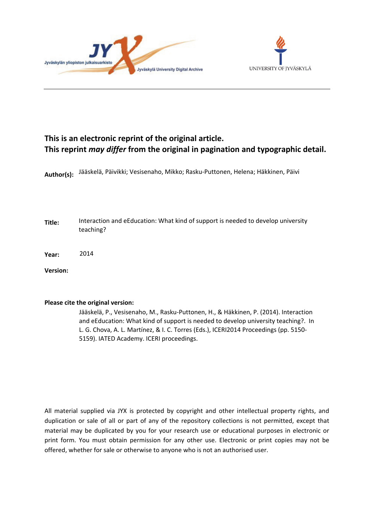



# **This is an electronic reprint of the original article. This reprint** *may differ* **from the original in pagination and typographic detail.**

**Author(s):**  Jääskelä, Päivikki; Vesisenaho, Mikko; Rasku-Puttonen, Helena; Häkkinen, Päivi

**Title:** Interaction and eEducation: What kind of support is needed to develop university teaching?

**Year:**  2014

**Version:**

## **Please cite the original version:**

Jääskelä, P., Vesisenaho, M., Rasku-Puttonen, H., & Häkkinen, P. (2014). Interaction and eEducation: What kind of support is needed to develop university teaching?. In L. G. Chova, A. L. Martínez, & I. C. Torres (Eds.), ICERI2014 Proceedings (pp. 5150- 5159). IATED Academy. ICERI proceedings.

All material supplied via JYX is protected by copyright and other intellectual property rights, and duplication or sale of all or part of any of the repository collections is not permitted, except that material may be duplicated by you for your research use or educational purposes in electronic or print form. You must obtain permission for any other use. Electronic or print copies may not be offered, whether for sale or otherwise to anyone who is not an authorised user.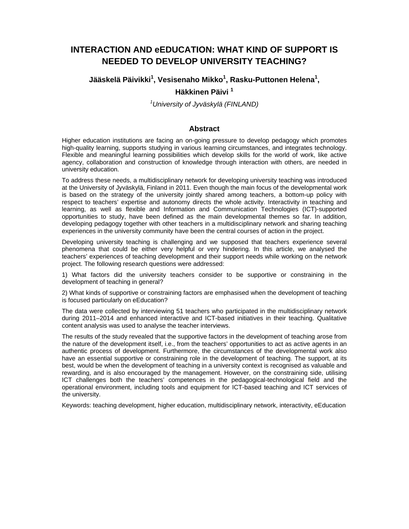## **INTERACTION AND eEDUCATION: WHAT KIND OF SUPPORT IS NEEDED TO DEVELOP UNIVERSITY TEACHING?**

**Jääskelä Päivikki1 , Vesisenaho Mikko<sup>1</sup> , Rasku-Puttonen Helena<sup>1</sup> ,** 

## **Häkkinen Päivi 1**

*1 University of Jyväskylä (FINLAND)*

#### **Abstract**

Higher education institutions are facing an on-going pressure to develop pedagogy which promotes high-quality learning, supports studying in various learning circumstances, and integrates technology. Flexible and meaningful learning possibilities which develop skills for the world of work, like active agency, collaboration and construction of knowledge through interaction with others, are needed in university education.

To address these needs, a multidisciplinary network for developing university teaching was introduced at the University of Jyväskylä, Finland in 2011. Even though the main focus of the developmental work is based on the strategy of the university jointly shared among teachers, a bottom-up policy with respect to teachers' expertise and autonomy directs the whole activity. Interactivity in teaching and learning, as well as flexible and Information and Communication Technologies (ICT)-supported opportunities to study, have been defined as the main developmental themes so far. In addition, developing pedagogy together with other teachers in a multidisciplinary network and sharing teaching experiences in the university community have been the central courses of action in the project.

Developing university teaching is challenging and we supposed that teachers experience several phenomena that could be either very helpful or very hindering. In this article, we analysed the teachers' experiences of teaching development and their support needs while working on the network project. The following research questions were addressed:

1) What factors did the university teachers consider to be supportive or constraining in the development of teaching in general?

2) What kinds of supportive or constraining factors are emphasised when the development of teaching is focused particularly on eEducation?

The data were collected by interviewing 51 teachers who participated in the multidisciplinary network during 2011–2014 and enhanced interactive and ICT-based initiatives in their teaching. Qualitative content analysis was used to analyse the teacher interviews.

The results of the study revealed that the supportive factors in the development of teaching arose from the nature of the development itself, i.e., from the teachers' opportunities to act as active agents in an authentic process of development. Furthermore, the circumstances of the developmental work also have an essential supportive or constraining role in the development of teaching. The support, at its best, would be when the development of teaching in a university context is recognised as valuable and rewarding, and is also encouraged by the management. However, on the constraining side, utilising ICT challenges both the teachers' competences in the pedagogical-technological field and the operational environment, including tools and equipment for ICT-based teaching and ICT services of the university.

Keywords: teaching development, higher education, multidisciplinary network, interactivity, eEducation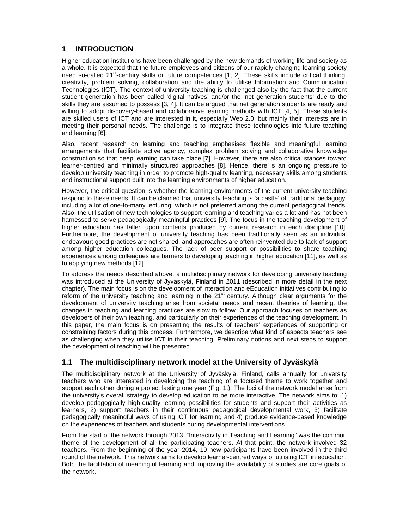## **1 INTRODUCTION**

Higher education institutions have been challenged by the new demands of working life and society as a whole. It is expected that the future employees and citizens of our rapidly changing learning society need so-called 21<sup>st</sup>-century skills or future competences [1, 2]. These skills include critical thinking, creativity, problem solving, collaboration and the ability to utilise Information and Communication Technologies (ICT). The context of university teaching is challenged also by the fact that the current student generation has been called 'digital natives' and/or the 'net generation students' due to the skills they are assumed to possess [3, 4]. It can be argued that net generation students are ready and willing to adopt discovery-based and collaborative learning methods with ICT [4, 5]. These students are skilled users of ICT and are interested in it, especially Web 2.0, but mainly their interests are in meeting their personal needs. The challenge is to integrate these technologies into future teaching and learning [6].

Also, recent research on learning and teaching emphasises flexible and meaningful learning arrangements that facilitate active agency, complex problem solving and collaborative knowledge construction so that deep learning can take place [7]. However, there are also critical stances toward learner-centred and minimally structured approaches [8]. Hence, there is an ongoing pressure to develop university teaching in order to promote high-quality learning, necessary skills among students and instructional support built into the learning environments of higher education.

However, the critical question is whether the learning environments of the current university teaching respond to these needs. It can be claimed that university teaching is 'a castle' of traditional pedagogy, including a lot of one-to-many lecturing, which is not preferred among the current pedagogical trends. Also, the utilisation of new technologies to support learning and teaching varies a lot and has not been harnessed to serve pedagogically meaningful practices [9]. The focus in the teaching development of higher education has fallen upon contents produced by current research in each discipline [10]. Furthermore, the development of university teaching has been traditionally seen as an individual endeavour; good practices are not shared, and approaches are often reinvented due to lack of support among higher education colleagues. The lack of peer support or possibilities to share teaching experiences among colleagues are barriers to developing teaching in higher education [11], as well as to applying new methods [12].

To address the needs described above, a multidisciplinary network for developing university teaching was introduced at the University of Jyväskylä, Finland in 2011 (described in more detail in the next chapter). The main focus is on the development of interaction and eEducation initiatives contributing to reform of the university teaching and learning in the 21<sup>st</sup> century. Although clear arguments for the development of university teaching arise from societal needs and recent theories of learning, the changes in teaching and learning practices are slow to follow. Our approach focuses on teachers as developers of their own teaching, and particularly on their experiences of the teaching development. In this paper, the main focus is on presenting the results of teachers' experiences of supporting or constraining factors during this process. Furthermore, we describe what kind of aspects teachers see as challenging when they utilise ICT in their teaching. Preliminary notions and next steps to support the development of teaching will be presented.

## **1.1 The multidisciplinary network model at the University of Jyväskylä**

The multidisciplinary network at the University of Jyväskylä, Finland, calls annually for university teachers who are interested in developing the teaching of a focused theme to work together and support each other during a project lasting one year (Fig. 1.). The foci of the network model arise from the university's overall strategy to develop education to be more interactive. The network aims to: 1) develop pedagogically high-quality learning possibilities for students and support their activities as learners, 2) support teachers in their continuous pedagogical developmental work, 3) facilitate pedagogically meaningful ways of using ICT for learning and 4) produce evidence-based knowledge on the experiences of teachers and students during developmental interventions.

From the start of the network through 2013, "Interactivity in Teaching and Learning" was the common theme of the development of all the participating teachers. At that point, the network involved 32 teachers. From the beginning of the year 2014, 19 new participants have been involved in the third round of the network. This network aims to develop learner-centred ways of utilising ICT in education. Both the facilitation of meaningful learning and improving the availability of studies are core goals of the network.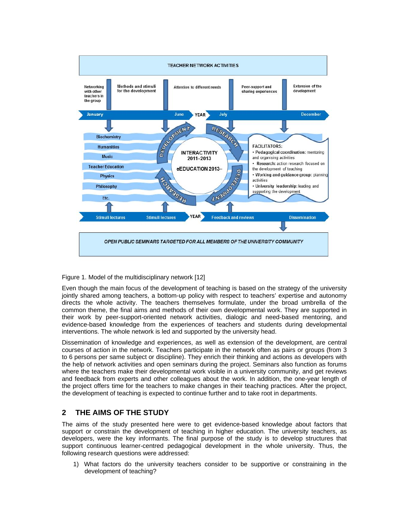

#### Figure 1. Model of the multidisciplinary network [12]

Even though the main focus of the development of teaching is based on the strategy of the university jointly shared among teachers, a bottom-up policy with respect to teachers' expertise and autonomy directs the whole activity. The teachers themselves formulate, under the broad umbrella of the common theme, the final aims and methods of their own developmental work. They are supported in their work by peer-support-oriented network activities, dialogic and need-based mentoring, and evidence-based knowledge from the experiences of teachers and students during developmental interventions. The whole network is led and supported by the university head.

Dissemination of knowledge and experiences, as well as extension of the development, are central courses of action in the network. Teachers participate in the network often as pairs or groups (from 3 to 6 persons per same subject or discipline). They enrich their thinking and actions as developers with the help of network activities and open seminars during the project. Seminars also function as forums where the teachers make their developmental work visible in a university community, and get reviews and feedback from experts and other colleagues about the work. In addition, the one-year length of the project offers time for the teachers to make changes in their teaching practices. After the project, the development of teaching is expected to continue further and to take root in departments.

## **2 THE AIMS OF THE STUDY**

The aims of the study presented here were to get evidence-based knowledge about factors that support or constrain the development of teaching in higher education. The university teachers, as developers, were the key informants. The final purpose of the study is to develop structures that support continuous learner-centred pedagogical development in the whole university. Thus, the following research questions were addressed:

1) What factors do the university teachers consider to be supportive or constraining in the development of teaching?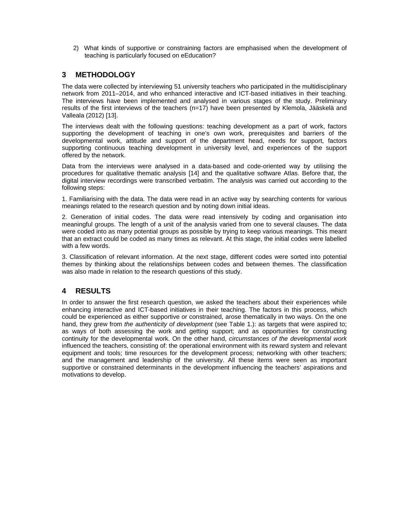2) What kinds of supportive or constraining factors are emphasised when the development of teaching is particularly focused on eEducation?

## **3 METHODOLOGY**

The data were collected by interviewing 51 university teachers who participated in the multidisciplinary network from 2011–2014, and who enhanced interactive and ICT-based initiatives in their teaching. The interviews have been implemented and analysed in various stages of the study. Preliminary results of the first interviews of the teachers (n=17) have been presented by Klemola, Jääskelä and Valleala (2012) [13].

The interviews dealt with the following questions: teaching development as a part of work, factors supporting the development of teaching in one's own work, prerequisites and barriers of the developmental work, attitude and support of the department head, needs for support, factors supporting continuous teaching development in university level, and experiences of the support offered by the network.

Data from the interviews were analysed in a data-based and code-oriented way by utilising the procedures for qualitative thematic analysis [14] and the qualitative software Atlas. Before that, the digital interview recordings were transcribed verbatim. The analysis was carried out according to the following steps:

1. Familiarising with the data. The data were read in an active way by searching contents for various meanings related to the research question and by noting down initial ideas.

2. Generation of initial codes. The data were read intensively by coding and organisation into meaningful groups. The length of a unit of the analysis varied from one to several clauses. The data were coded into as many potential groups as possible by trying to keep various meanings. This meant that an extract could be coded as many times as relevant. At this stage, the initial codes were labelled with a few words.

3. Classification of relevant information. At the next stage, different codes were sorted into potential themes by thinking about the relationships between codes and between themes. The classification was also made in relation to the research questions of this study.

## **4 RESULTS**

In order to answer the first research question, we asked the teachers about their experiences while enhancing interactive and ICT-based initiatives in their teaching. The factors in this process, which could be experienced as either supportive or constrained, arose thematically in two ways. On the one hand, they grew from *the authenticity of development* (see Table 1.): as targets that were aspired to; as ways of both assessing the work and getting support; and as opportunities for constructing continuity for the developmental work. On the other hand, *circumstances of the developmental work*  influenced the teachers*,* consisting of: the operational environment with its reward system and relevant equipment and tools; time resources for the development process; networking with other teachers; and the management and leadership of the university. All these items were seen as important supportive or constrained determinants in the development influencing the teachers' aspirations and motivations to develop.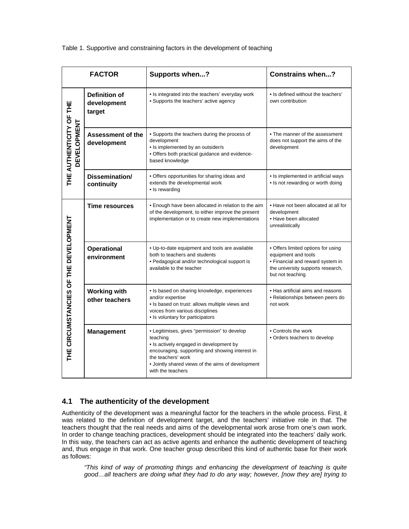Table 1. Supportive and constraining factors in the development of teaching

|                                       | <b>FACTOR</b>                                 | Supports when?                                                                                                                                                                                                                                         | <b>Constrains when?</b>                                                                                                                                |
|---------------------------------------|-----------------------------------------------|--------------------------------------------------------------------------------------------------------------------------------------------------------------------------------------------------------------------------------------------------------|--------------------------------------------------------------------------------------------------------------------------------------------------------|
| THE AUTHENTICITY OF THE<br>EVELOPMENT | <b>Definition of</b><br>development<br>target | • Is integrated into the teachers' everyday work<br>• Supports the teachers' active agency                                                                                                                                                             | • Is defined without the teachers'<br>own contribution                                                                                                 |
|                                       | <b>Assessment of the</b><br>development       | • Supports the teachers during the process of<br>development<br>· Is implemented by an outsider/s<br>. Offers both practical guidance and evidence-<br>based knowledge                                                                                 | • The manner of the assessment<br>does not support the aims of the<br>development                                                                      |
|                                       | Dissemination/<br>continuity                  | • Offers opportunities for sharing ideas and<br>extends the developmental work<br>• Is rewarding                                                                                                                                                       | • Is implemented in artificial ways<br>• Is not rewarding or worth doing                                                                               |
| THE CIRCUMSTANCIES OF THE DEVELOPMENT | Time resources                                | . Enough have been allocated in relation to the aim<br>of the development, to either improve the present<br>implementation or to create new implementations                                                                                            | . Have not been allocated at all for<br>development<br>• Have been allocated<br>unrealistically                                                        |
|                                       | <b>Operational</b><br>environment             | . Up-to-date equipment and tools are available<br>both to teachers and students<br>• Pedagogical and/or technological support is<br>available to the teacher                                                                                           | · Offers limited options for using<br>equipment and tools<br>• Financial and reward system in<br>the university supports research,<br>but not teaching |
|                                       | <b>Working with</b><br>other teachers         | • Is based on sharing knowledge, experiences<br>and/or expertise<br>. Is based on trust: allows multiple views and<br>voices from various disciplines<br>• Is voluntary for participators                                                              | • Has artificial aims and reasons<br>• Relationships between peers do<br>not work                                                                      |
|                                       | <b>Management</b>                             | • Legitimises, gives "permission" to develop<br>teaching<br>• Is actively engaged in development by<br>encouraging, supporting and showing interest in<br>the teachers' work<br>• Jointly shared views of the aims of development<br>with the teachers | • Controls the work<br>• Orders teachers to develop                                                                                                    |

## **4.1 The authenticity of the development**

Authenticity of the development was a meaningful factor for the teachers in the whole process. First, it was related to the definition of development target, and the teachers' initiative role in that. The teachers thought that the real needs and aims of the developmental work arose from one's own work. In order to change teaching practices, development should be integrated into the teachers' daily work. In this way, the teachers can act as active agents and enhance the authentic development of teaching and, thus engage in that work. One teacher group described this kind of authentic base for their work as follows:

*"This kind of way of promoting things and enhancing the development of teaching is quite good…all teachers are doing what they had to do any way; however, [now they are] trying to*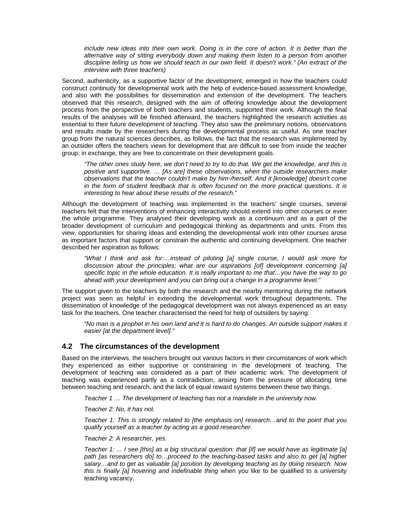*include new ideas into their own work. Doing is in the core of action. It is better than the alternative way of sitting everybody down and making them listen to a person from another discipline telling us how we should teach in our own field. It doesn't work." (An extract of the interview with three teachers)* 

Second, authenticity, as a supportive factor of the development, emerged in how the teachers could construct continuity for developmental work with the help of evidence-based assessment knowledge, and also with the possibilities for dissemination and extension of the development. The teachers observed that this research, designed with the aim of offering knowledge about the development process from the perspective of both teachers and students, supported their work. Although the final results of the analyses will be finished afterward, the teachers highlighted the research activities as essential to their future development of teaching. They also saw the preliminary notions, observations and results made by the researchers during the developmental process as useful. As one teacher group from the natural sciences describes, as follows, the fact that the research was implemented by an outsider offers the teachers views for development that are difficult to see from inside the teacher group; in exchange, they are free to concentrate on their development goals.

*"The other ones study here, we don't need to try to do that. We get the knowledge, and this is positive and supportive. … [As are] these observations, when the outside researchers make observations that the teacher couldn't make by him-/herself. And it [knowledge] doesn't come in the form of student feedback that is often focused on the more practical questions. It is interesting to hear about these results of the research."* 

Although the development of teaching was implemented in the teachers' single courses, several teachers felt that the interventions of enhancing interactivity should extend into other courses or even the whole programme. They analysed their developing work as a continuum and as a part of the broader development of curriculum and pedagogical thinking as departments and units. From this view, opportunities for sharing ideas and extending the developmental work into other courses arose as important factors that support or constrain the authentic and continuing development. One teacher described her aspiration as follows:

*"What I think and ask for:…instead of piloting [a] single course, I would ask more for discussion about the principles; what are our aspirations [of] development concerning [a] specific topic in the whole education. It is really important to me that…you have the way to go ahead with your development and you can bring out a change in a programme level."* 

The support given to the teachers by both the research and the nearby mentoring during the network project was seen as helpful in extending the developmental work throughout departments. The dissemination of knowledge of the pedagogical development was not always experienced as an easy task for the teachers. One teacher characterised the need for help of outsiders by saying:

*"No man is a prophet in his own land and it is hard to do changes. An outside support makes it easier [at the department level]."* 

#### **4.2 The circumstances of the development**

Based on the interviews, the teachers brought out various factors in their circumstances of work which they experienced as either supportive or constraining in the development of teaching. The development of teaching was considered as a part of their academic work. The development of teaching was experienced partly as a contradiction, arising from the pressure of allocating time between teaching and research, and the lack of equal reward systems between these two things.

*Teacher 1 … The development of teaching has not a mandate in the university now.* 

*Teacher 2: No, it has not.* 

*Teacher 1: This is strongly related to [the emphasis on] research…and to the point that you qualify yourself as a teacher by acting as a good researcher.* 

*Teacher 2: A researcher, yes.* 

*Teacher 1: ... I see [this] as a big structural question: that [if] we would have as legitimate [a] path [as researchers do] to…proceed to the teaching-based tasks and also to get [a] higher salary…and to get as valuable [a] position by developing teaching as by doing research. Now this is finally [a] hovering and indefinable thing* when you like to be qualified to a university teaching vacancy.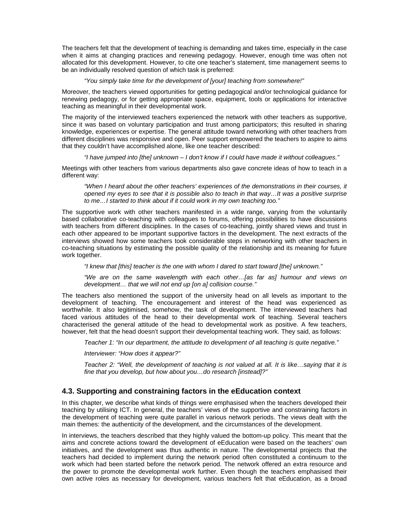The teachers felt that the development of teaching is demanding and takes time, especially in the case when it aims at changing practices and renewing pedagogy. However, enough time was often not allocated for this development. However, to cite one teacher's statement, time management seems to be an individually resolved question of which task is preferred:

#### *"You simply take time for the development of [your] teaching from somewhere!"*

Moreover, the teachers viewed opportunities for getting pedagogical and/or technological guidance for renewing pedagogy, or for getting appropriate space, equipment, tools or applications for interactive teaching as meaningful in their developmental work.

The majority of the interviewed teachers experienced the network with other teachers as supportive, since it was based on voluntary participation and trust among participators; this resulted in sharing knowledge, experiences or expertise. The general attitude toward networking with other teachers from different disciplines was responsive and open. Peer support empowered the teachers to aspire to aims that they couldn't have accomplished alone, like one teacher described:

*"I have jumped into [the] unknown – I don't know if I could have made it without colleagues."* 

Meetings with other teachers from various departments also gave concrete ideas of how to teach in a different way:

*"When I heard about the other teachers' experiences of the demonstrations in their courses, it opened my eyes to see that it is possible also to teach in that way…It was a positive surprise to me…I started to think about if it could work in my own teaching too."* 

The supportive work with other teachers manifested in a wide range, varying from the voluntarily based collaborative co-teaching with colleagues to forums, offering possibilities to have discussions with teachers from different disciplines. In the cases of co-teaching, jointly shared views and trust in each other appeared to be important supportive factors in the development. The next extracts of the interviews showed how some teachers took considerable steps in networking with other teachers in co-teaching situations by estimating the possible quality of the relationship and its meaning for future work together.

*"I knew that [this] teacher is the one with whom I dared to start toward [the] unknown."* 

*"We are on the same wavelength with each other…[as far as] humour and views on development… that we will not end up [on a] collision course."* 

The teachers also mentioned the support of the university head on all levels as important to the development of teaching. The encouragement and interest of the head was experienced as worthwhile. It also legitimised, somehow, the task of development. The interviewed teachers had faced various attitudes of the head to their developmental work of teaching. Several teachers characterised the general attitude of the head to developmental work as positive. A few teachers, however, felt that the head doesn't support their developmental teaching work. They said, as follows:

*Teacher 1: "In our department, the attitude to development of all teaching is quite negative."* 

*Interviewer: "How does it appear?"* 

*Teacher 2: "Well, the development of teaching is not valued at all. It is like…saying that it is fine that you develop, but how about you…do research [instead]?"* 

## **4.3. Supporting and constraining factors in the eEducation context**

In this chapter, we describe what kinds of things were emphasised when the teachers developed their teaching by utilising ICT. In general, the teachers' views of the supportive and constraining factors in the development of teaching were quite parallel in various network periods. The views dealt with the main themes: the authenticity of the development, and the circumstances of the development.

In interviews, the teachers described that they highly valued the bottom-up policy. This meant that the aims and concrete actions toward the development of eEducation were based on the teachers' own initiatives, and the development was thus authentic in nature. The developmental projects that the teachers had decided to implement during the network period often constituted a continuum to the work which had been started before the network period. The network offered an extra resource and the power to promote the developmental work further. Even though the teachers emphasised their own active roles as necessary for development, various teachers felt that eEducation, as a broad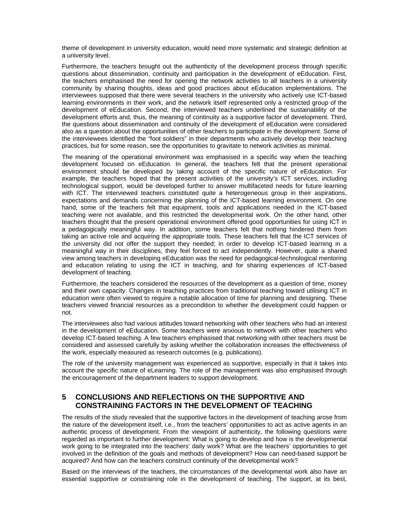theme of development in university education, would need more systematic and strategic definition at a university level.

Furthermore, the teachers brought out the authenticity of the development process through specific questions about dissemination, continuity and participation in the development of eEducation. First, the teachers emphasised the need for opening the network activities to all teachers in a university community by sharing thoughts, ideas and good practices about eEducation implementations. The interviewees supposed that there were several teachers in the university who actively use ICT-based learning environments in their work, and the network itself represented only a restricted group of the development of eEducation. Second, the interviewed teachers underlined the sustainability of the development efforts and, thus, the meaning of continuity as a supportive factor of development. Third, the questions about dissemination and continuity of the development of eEducation were considered also as a question about the opportunities of other teachers to participate in the development. Some of the interviewees identified the "foot soldiers" in their departments who actively develop their teaching practices, but for some reason, see the opportunities to gravitate to network activities as minimal.

The meaning of the operational environment was emphasised in a specific way when the teaching development focused on eEducation. In general, the teachers felt that the present operational environment should be developed by taking account of the specific nature of eEducation. For example, the teachers hoped that the present activities of the university's ICT services, including technological support, would be developed further to answer multifaceted needs for future learning with ICT. The interviewed teachers constituted quite a heterogeneous group in their aspirations, expectations and demands concerning the planning of the ICT-based learning environment. On one hand, some of the teachers felt that equipment, tools and applications needed in the ICT-based teaching were not available, and this restricted the developmental work. On the other hand, other teachers thought that the present operational environment offered good opportunities for using ICT in a pedagogically meaningful way. In addition, some teachers felt that nothing hindered them from taking an active role and acquiring the appropriate tools. These teachers felt that the ICT services of the university did not offer the support they needed; in order to develop ICT-based learning in a meaningful way in their disciplines, they feel forced to act independently. However, quite a shared view among teachers in developing eEducation was the need for pedagogical-technological mentoring and education relating to using the ICT in teaching, and for sharing experiences of ICT-based development of teaching.

Furthermore, the teachers considered the resources of the development as a question of time, money and their own capacity. Changes in teaching practices from traditional teaching toward utilising ICT in education were often viewed to require a notable allocation of time for planning and designing. These teachers viewed financial resources as a precondition to whether the development could happen or not.

The interviewees also had various attitudes toward networking with other teachers who had an interest in the development of eEducation. Some teachers were anxious to network with other teachers who develop ICT-based teaching. A few teachers emphasised that networking with other teachers must be considered and assessed carefully by asking whether the collaboration increases the effectiveness of the work, especially measured as research outcomes (e.g. publications).

The role of the university management was experienced as supportive, especially in that it takes into account the specific nature of eLearning. The role of the management was also emphasised through the encouragement of the department leaders to support development.

#### **5 CONCLUSIONS AND REFLECTIONS ON THE SUPPORTIVE AND CONSTRAINING FACTORS IN THE DEVELOPMENT OF TEACHING**

The results of the study revealed that the supportive factors in the development of teaching arose from the nature of the development itself, i.e., from the teachers' opportunities to act as active agents in an authentic process of development. From the viewpoint of authenticity, the following questions were regarded as important to further development: What is going to develop and how is the developmental work going to be integrated into the teachers' daily work? What are the teachers' opportunities to get involved in the definition of the goals and methods of development? How can need-based support be acquired? And how can the teachers construct continuity of the developmental work?

Based on the interviews of the teachers, the circumstances of the developmental work also have an essential supportive or constraining role in the development of teaching. The support, at its best,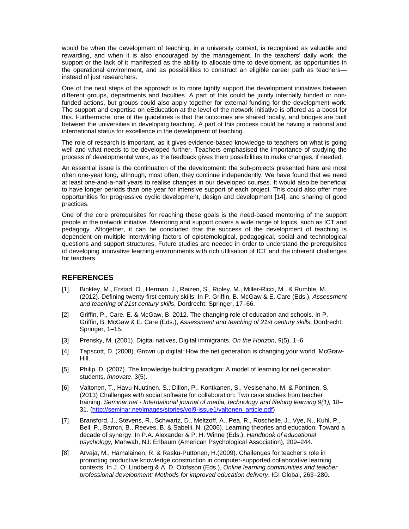would be when the development of teaching, in a university context, is recognised as valuable and rewarding, and when it is also encouraged by the management. In the teachers' daily work, the support or the lack of it manifested as the ability to allocate time to development, as opportunities in the operational environment, and as possibilities to construct an eligible career path as teachers instead of just researchers.

One of the next steps of the approach is to more tightly support the development initiatives between different groups, departments and faculties. A part of this could be jointly internally funded or nonfunded actions, but groups could also apply together for external funding for the development work. The support and expertise on eEducation at the level of the network initiative is offered as a boost for this. Furthermore, one of the guidelines is that the outcomes are shared locally, and bridges are built between the universities in developing teaching. A part of this process could be having a national and international status for excellence in the development of teaching.

The role of research is important, as it gives evidence-based knowledge to teachers on what is going well and what needs to be developed further. Teachers emphasised the importance of studying the process of developmental work, as the feedback gives them possibilities to make changes, if needed.

An essential issue is the continuation of the development: the sub-projects presented here are most often one-year long, although, most often, they continue independently. We have found that we need at least one-and-a-half years to realise changes in our developed courses. It would also be beneficial to have longer periods than one year for intensive support of each project. This could also offer more opportunities for progressive cyclic development, design and development [14], and sharing of good practices.

One of the core prerequisites for reaching these goals is the need-based mentoring of the support people in the network initiative. Mentoring and support covers a wide range of topics, such as ICT and pedagogy. Altogether, it can be concluded that the success of the development of teaching is dependent on multiple intertwining factors of epistemological, pedagogical, social and technological questions and support structures. Future studies are needed in order to understand the prerequisites of developing innovative learning environments with rich utilisation of ICT and the inherent challenges for teachers.

## **REFERENCES**

- [1] Binkley, M., Erstad, O., Herman, J., Raizen, S., Ripley, M., Miller-Ricci, M., & Rumble, M. (2012). Defining twenty-first century skills. In P. Griffin, B. McGaw & E. Care (Eds.), *Assessment and teaching of 21st century skills*, Dordrecht: Springer, 17–66.
- [2] Griffin, P., Care, E. & McGaw, B. 2012. The changing role of education and schools. In P. Griffin, B. McGaw & E. Care (Eds.), *Assessment and teaching of 21st century skills*, Dordrecht: Springer, 1–15.
- [3] Prensky, M. (2001). Digital natives, Digital immigrants. *On the Horizon*, 9(5), 1–6.
- [4] Tapscott, D. (2008). Grown up digital: How the net generation is changing your world. McGraw-Hill.
- [5] Philip, D. (2007). The knowledge building paradigm: A model of learning for net generation students. *Innovate*, 3(5).
- [6] Valtonen, T., Havu-Nuutinen, S., Dillon, P., Kontkanen, S., Vesisenaho, M. & Pöntinen, S. (2013) Challenges with social software for collaboration: Two case studies from teacher training. *Seminar.net - International journal of media, technology and lifelong learning 9(1),* 18– 31. (http://seminar.net/images/stories/vol9-issue1/valtonen\_article.pdf)
- [7] Bransford, J., Stevens, R., Schwartz, D., Meltzoff, A., Pea, R., Roschelle, J., Vye, N., Kuhl, P., Bell, P., Barron, B., Reeves, B. & Sabelli, N. (2006). Learning theories and education: Toward a decade of synergy. In P.A. Alexander & P. H. Winne (Eds.), *Handbook of educational psychology,* Mahwah, NJ: Erlbaum (American Psychological Association), 209–244.
- [8] Arvaja, M., Hämäläinen, R. & Rasku-Puttonen, H.(2009). Challenges for teacher's role in promoting productive knowledge construction in computer-supported collaborative learning contexts. In J. O. Lindberg & A. D. Olofsson (Eds.), *Online learning communities and teacher professional development: Methods for improved education delivery*. IGI Global, 263–280.